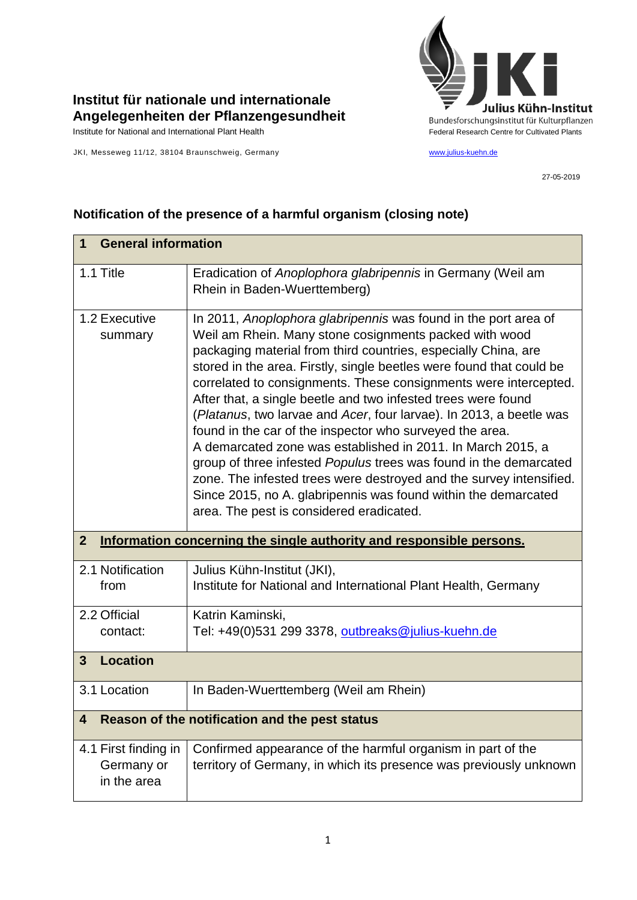

## **Institut für nationale und internationale Angelegenheiten der Pflanzengesundheit**

JKI, Messeweg 11/12, 38104 Braunschweig, Germany [www.julius-kuehn.de](http://www.julius-kuehn.de/)

27-05-2019

## **Notification of the presence of a harmful organism (closing note)**

| <b>General information</b><br>1                                                      |                                                                                                                                                                                                                                                                                                                                                                                                                                                                                                                                                                                                                                                                                                                                                                                                                                                                      |  |
|--------------------------------------------------------------------------------------|----------------------------------------------------------------------------------------------------------------------------------------------------------------------------------------------------------------------------------------------------------------------------------------------------------------------------------------------------------------------------------------------------------------------------------------------------------------------------------------------------------------------------------------------------------------------------------------------------------------------------------------------------------------------------------------------------------------------------------------------------------------------------------------------------------------------------------------------------------------------|--|
| 1.1 Title                                                                            | Eradication of Anoplophora glabripennis in Germany (Weil am<br>Rhein in Baden-Wuerttemberg)                                                                                                                                                                                                                                                                                                                                                                                                                                                                                                                                                                                                                                                                                                                                                                          |  |
| 1.2 Executive<br>summary                                                             | In 2011, Anoplophora glabripennis was found in the port area of<br>Weil am Rhein. Many stone cosignments packed with wood<br>packaging material from third countries, especially China, are<br>stored in the area. Firstly, single beetles were found that could be<br>correlated to consignments. These consignments were intercepted.<br>After that, a single beetle and two infested trees were found<br>(Platanus, two larvae and Acer, four larvae). In 2013, a beetle was<br>found in the car of the inspector who surveyed the area.<br>A demarcated zone was established in 2011. In March 2015, a<br>group of three infested Populus trees was found in the demarcated<br>zone. The infested trees were destroyed and the survey intensified.<br>Since 2015, no A. glabripennis was found within the demarcated<br>area. The pest is considered eradicated. |  |
| $\mathbf{2}$<br>Information concerning the single authority and responsible persons. |                                                                                                                                                                                                                                                                                                                                                                                                                                                                                                                                                                                                                                                                                                                                                                                                                                                                      |  |
| 2.1 Notification<br>from                                                             | Julius Kühn-Institut (JKI),<br>Institute for National and International Plant Health, Germany                                                                                                                                                                                                                                                                                                                                                                                                                                                                                                                                                                                                                                                                                                                                                                        |  |
| 2.2 Official<br>contact:                                                             | Katrin Kaminski,<br>Tel: +49(0)531 299 3378, outbreaks@julius-kuehn.de                                                                                                                                                                                                                                                                                                                                                                                                                                                                                                                                                                                                                                                                                                                                                                                               |  |
| <b>Location</b><br>$\mathbf{3}$                                                      |                                                                                                                                                                                                                                                                                                                                                                                                                                                                                                                                                                                                                                                                                                                                                                                                                                                                      |  |
| 3.1 Location                                                                         | In Baden-Wuerttemberg (Weil am Rhein)                                                                                                                                                                                                                                                                                                                                                                                                                                                                                                                                                                                                                                                                                                                                                                                                                                |  |
| Reason of the notification and the pest status<br>4                                  |                                                                                                                                                                                                                                                                                                                                                                                                                                                                                                                                                                                                                                                                                                                                                                                                                                                                      |  |
| 4.1 First finding in<br>Germany or<br>in the area                                    | Confirmed appearance of the harmful organism in part of the<br>territory of Germany, in which its presence was previously unknown                                                                                                                                                                                                                                                                                                                                                                                                                                                                                                                                                                                                                                                                                                                                    |  |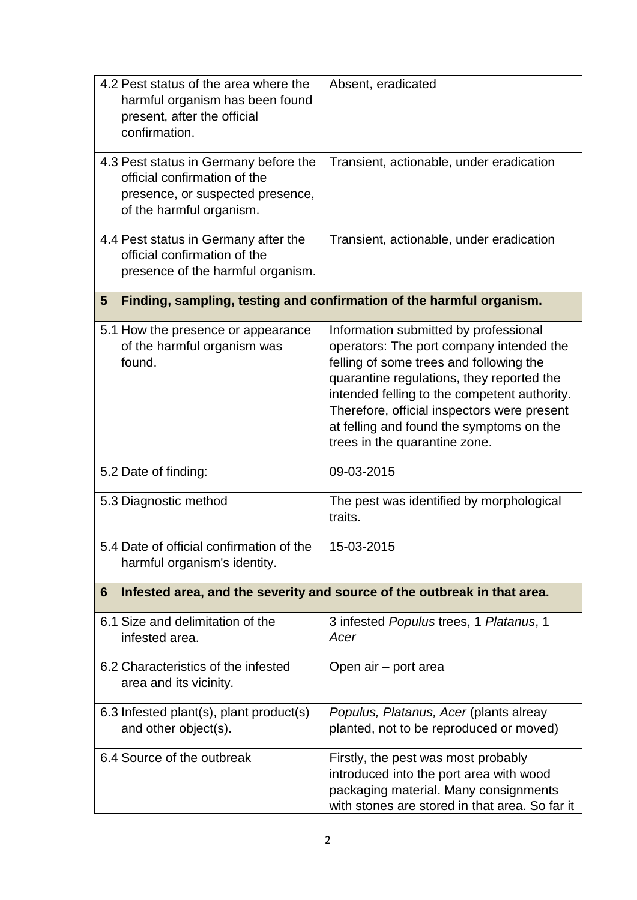| 4.2 Pest status of the area where the<br>harmful organism has been found<br>present, after the official<br>confirmation.              | Absent, eradicated                                                                                                                                                                                                                                                                                                                                    |  |  |
|---------------------------------------------------------------------------------------------------------------------------------------|-------------------------------------------------------------------------------------------------------------------------------------------------------------------------------------------------------------------------------------------------------------------------------------------------------------------------------------------------------|--|--|
| 4.3 Pest status in Germany before the<br>official confirmation of the<br>presence, or suspected presence,<br>of the harmful organism. | Transient, actionable, under eradication                                                                                                                                                                                                                                                                                                              |  |  |
| 4.4 Pest status in Germany after the<br>official confirmation of the<br>presence of the harmful organism.                             | Transient, actionable, under eradication                                                                                                                                                                                                                                                                                                              |  |  |
| Finding, sampling, testing and confirmation of the harmful organism.<br>5                                                             |                                                                                                                                                                                                                                                                                                                                                       |  |  |
| 5.1 How the presence or appearance<br>of the harmful organism was<br>found.                                                           | Information submitted by professional<br>operators: The port company intended the<br>felling of some trees and following the<br>quarantine regulations, they reported the<br>intended felling to the competent authority.<br>Therefore, official inspectors were present<br>at felling and found the symptoms on the<br>trees in the quarantine zone. |  |  |
| 5.2 Date of finding:                                                                                                                  | 09-03-2015                                                                                                                                                                                                                                                                                                                                            |  |  |
| 5.3 Diagnostic method                                                                                                                 | The pest was identified by morphological<br>traits.                                                                                                                                                                                                                                                                                                   |  |  |
| 5.4 Date of official confirmation of the<br>harmful organism's identity.                                                              | 15-03-2015                                                                                                                                                                                                                                                                                                                                            |  |  |
| Infested area, and the severity and source of the outbreak in that area.<br>6                                                         |                                                                                                                                                                                                                                                                                                                                                       |  |  |
| 6.1 Size and delimitation of the<br>infested area.                                                                                    | 3 infested Populus trees, 1 Platanus, 1<br>Acer                                                                                                                                                                                                                                                                                                       |  |  |
| 6.2 Characteristics of the infested<br>area and its vicinity.                                                                         | Open air - port area                                                                                                                                                                                                                                                                                                                                  |  |  |
| 6.3 Infested plant(s), plant product(s)<br>and other object(s).                                                                       | Populus, Platanus, Acer (plants alreay<br>planted, not to be reproduced or moved)                                                                                                                                                                                                                                                                     |  |  |
| 6.4 Source of the outbreak                                                                                                            | Firstly, the pest was most probably<br>introduced into the port area with wood<br>packaging material. Many consignments<br>with stones are stored in that area. So far it                                                                                                                                                                             |  |  |